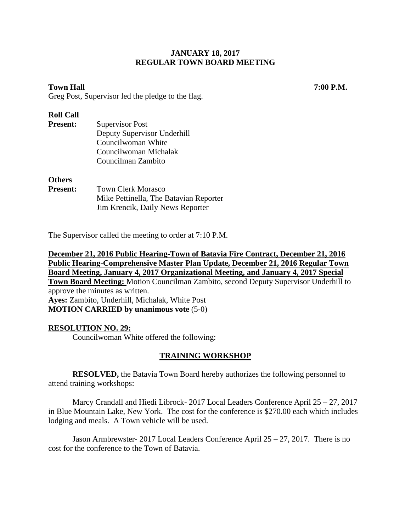# **Town Hall 7:00 P.M.**

Greg Post, Supervisor led the pledge to the flag.

#### **Roll Call**

| <b>Present:</b> | <b>Supervisor Post</b>                 |
|-----------------|----------------------------------------|
|                 | Deputy Supervisor Underhill            |
|                 | Councilwoman White                     |
|                 | Councilwoman Michalak                  |
|                 | Councilman Zambito                     |
| <b>Others</b>   |                                        |
| <b>Present:</b> | <b>Town Clerk Morasco</b>              |
|                 | Mike Pettinella, The Batavian Reporter |

The Supervisor called the meeting to order at 7:10 P.M.

Jim Krencik, Daily News Reporter

**December 21, 2016 Public Hearing-Town of Batavia Fire Contract, December 21, 2016 Public Hearing-Comprehensive Master Plan Update, December 21, 2016 Regular Town Board Meeting, January 4, 2017 Organizational Meeting, and January 4, 2017 Special Town Board Meeting:** Motion Councilman Zambito, second Deputy Supervisor Underhill to approve the minutes as written. **Ayes:** Zambito, Underhill, Michalak, White Post **MOTION CARRIED by unanimous vote** (5-0)

#### **RESOLUTION NO. 29:**

Councilwoman White offered the following:

#### **TRAINING WORKSHOP**

**RESOLVED,** the Batavia Town Board hereby authorizes the following personnel to attend training workshops:

Marcy Crandall and Hiedi Librock- 2017 Local Leaders Conference April 25 – 27, 2017 in Blue Mountain Lake, New York. The cost for the conference is \$270.00 each which includes lodging and meals. A Town vehicle will be used.

Jason Armbrewster- 2017 Local Leaders Conference April 25 – 27, 2017. There is no cost for the conference to the Town of Batavia.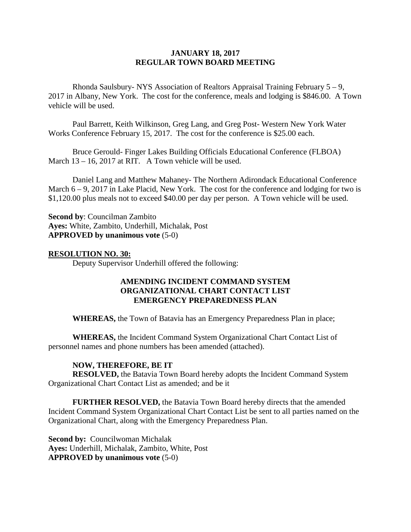Rhonda Saulsbury- NYS Association of Realtors Appraisal Training February 5 – 9, 2017 in Albany, New York. The cost for the conference, meals and lodging is \$846.00. A Town vehicle will be used.

Paul Barrett, Keith Wilkinson, Greg Lang, and Greg Post- Western New York Water Works Conference February 15, 2017. The cost for the conference is \$25.00 each.

Bruce Gerould- Finger Lakes Building Officials Educational Conference (FLBOA) March 13 – 16, 2017 at RIT. A Town vehicle will be used.

Daniel Lang and Matthew Mahaney- The Northern Adirondack Educational Conference March  $6 - 9$ , 2017 in Lake Placid, New York. The cost for the conference and lodging for two is \$1,120.00 plus meals not to exceed \$40.00 per day per person. A Town vehicle will be used.

**Second by**: Councilman Zambito **Ayes:** White, Zambito, Underhill, Michalak, Post **APPROVED by unanimous vote** (5-0)

#### **RESOLUTION NO. 30:**

Deputy Supervisor Underhill offered the following:

# **AMENDING INCIDENT COMMAND SYSTEM ORGANIZATIONAL CHART CONTACT LIST EMERGENCY PREPAREDNESS PLAN**

**WHEREAS,** the Town of Batavia has an Emergency Preparedness Plan in place;

**WHEREAS,** the Incident Command System Organizational Chart Contact List of personnel names and phone numbers has been amended (attached).

#### **NOW, THEREFORE, BE IT**

**RESOLVED,** the Batavia Town Board hereby adopts the Incident Command System Organizational Chart Contact List as amended; and be it

**FURTHER RESOLVED,** the Batavia Town Board hereby directs that the amended Incident Command System Organizational Chart Contact List be sent to all parties named on the Organizational Chart, along with the Emergency Preparedness Plan.

**Second by:** Councilwoman Michalak **Ayes:** Underhill, Michalak, Zambito, White, Post **APPROVED by unanimous vote** (5-0)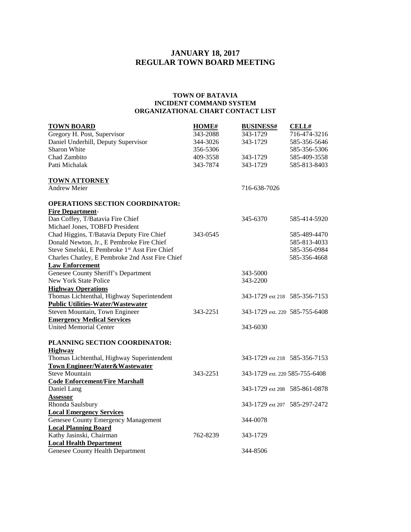#### **TOWN OF BATAVIA INCIDENT COMMAND SYSTEM ORGANIZATIONAL CHART CONTACT LIST**

| <b>TOWN BOARD</b>                                                       | <b>HOME#</b> | <b>BUSINESS#</b> | <b>CELL#</b>                   |
|-------------------------------------------------------------------------|--------------|------------------|--------------------------------|
| Gregory H. Post, Supervisor                                             | 343-2088     | 343-1729         | 716-474-3216                   |
| Daniel Underhill, Deputy Supervisor                                     | 344-3026     | 343-1729         | 585-356-5646                   |
| Sharon White                                                            | 356-5306     |                  | 585-356-5306                   |
| Chad Zambito                                                            | 409-3558     | 343-1729         | 585-409-3558                   |
| Patti Michalak                                                          | 343-7874     | 343-1729         | 585-813-8403                   |
| <b>TOWN ATTORNEY</b>                                                    |              |                  |                                |
| <b>Andrew Meier</b>                                                     |              | 716-638-7026     |                                |
| <b>OPERATIONS SECTION COORDINATOR:</b>                                  |              |                  |                                |
| <b>Fire Department-</b>                                                 |              |                  |                                |
| Dan Coffey, T/Batavia Fire Chief                                        |              | 345-6370         | 585-414-5920                   |
| Michael Jones, TOBFD President                                          |              |                  |                                |
| Chad Higgins, T/Batavia Deputy Fire Chief                               | 343-0545     |                  | 585-489-4470                   |
| Donald Newton, Jr., E Pembroke Fire Chief                               |              |                  | 585-813-4033                   |
| Steve Smelski, E Pembroke 1st Asst Fire Chief                           |              |                  | 585-356-0984                   |
| Charles Chatley, E Pembroke 2nd Asst Fire Chief                         |              |                  | 585-356-4668                   |
| <b>Law Enforcement</b>                                                  |              |                  |                                |
| Genesee County Sheriff's Department                                     |              | 343-5000         |                                |
| New York State Police                                                   |              | 343-2200         |                                |
| <b>Highway Operations</b><br>Thomas Lichtenthal, Highway Superintendent |              |                  | 343-1729 ext 218 585-356-7153  |
| <b>Public Utilities-Water/Wastewater</b>                                |              |                  |                                |
| Steven Mountain, Town Engineer                                          | 343-2251     |                  | 343-1729 ext. 220 585-755-6408 |
| <b>Emergency Medical Services</b>                                       |              |                  |                                |
| <b>United Memorial Center</b>                                           |              | 343-6030         |                                |
|                                                                         |              |                  |                                |
| PLANNING SECTION COORDINATOR:                                           |              |                  |                                |
| <b>Highway</b>                                                          |              |                  |                                |
| Thomas Lichtenthal, Highway Superintendent                              |              |                  | 343-1729 ext 218 585-356-7153  |
| <b>Town Engineer/Water&amp;Wastewater</b>                               |              |                  |                                |
| Steve Mountain                                                          | 343-2251     |                  | 343-1729 ext. 220 585-755-6408 |
| <b>Code Enforcement/Fire Marshall</b>                                   |              |                  |                                |
| Daniel Lang                                                             |              |                  | 343-1729 ext 208 585-861-0878  |
| Assessor                                                                |              |                  |                                |
| Rhonda Saulsbury                                                        |              |                  | 343-1729 ext 207 585-297-2472  |
| <b>Local Emergency Services</b>                                         |              |                  |                                |
| Genesee County Emergency Management                                     |              | 344-0078         |                                |
| <b>Local Planning Board</b>                                             |              |                  |                                |
| Kathy Jasinski, Chairman                                                | 762-8239     | 343-1729         |                                |
| <b>Local Health Department</b>                                          |              |                  |                                |
| Genesee County Health Department                                        |              | 344-8506         |                                |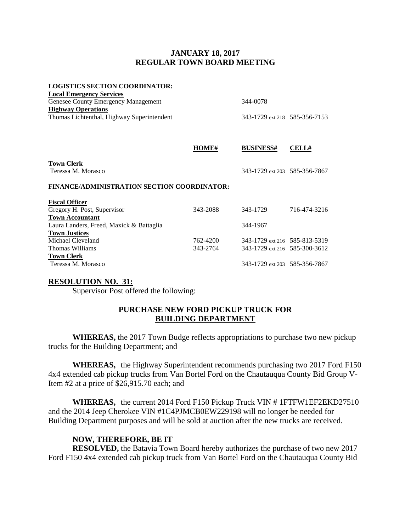#### **LOGISTICS SECTION COORDINATOR:**

| 344-0078                      |  |
|-------------------------------|--|
|                               |  |
| 343-1729 ext 218 585-356-7153 |  |
|                               |  |

|                                                    | HOME#    | <b>BUSINESS#</b>              | <b>CELL#</b> |
|----------------------------------------------------|----------|-------------------------------|--------------|
| <b>Town Clerk</b><br>Teressa M. Morasco            |          | 343-1729 ext 203 585-356-7867 |              |
| <b>FINANCE/ADMINISTRATION SECTION COORDINATOR:</b> |          |                               |              |
| <b>Fiscal Officer</b>                              |          |                               |              |
| Gregory H. Post, Supervisor                        | 343-2088 | 343-1729                      | 716-474-3216 |
| <b>Town Accountant</b>                             |          |                               |              |
| Laura Landers, Freed, Maxick & Battaglia           |          | 344-1967                      |              |
| <b>Town Justices</b>                               |          |                               |              |
| Michael Cleveland                                  | 762-4200 | 343-1729 ext 216 585-813-5319 |              |
| Thomas Williams                                    | 343-2764 | 343-1729 ext 216 585-300-3612 |              |
| <b>Town Clerk</b>                                  |          |                               |              |
| Teressa M. Morasco                                 |          | 343-1729 ext 203 585-356-7867 |              |

#### **RESOLUTION NO. 31:**

Supervisor Post offered the following:

# **PURCHASE NEW FORD PICKUP TRUCK FOR BUILDING DEPARTMENT**

**WHEREAS,** the 2017 Town Budge reflects appropriations to purchase two new pickup trucks for the Building Department; and

**WHEREAS,** the Highway Superintendent recommends purchasing two 2017 Ford F150 4x4 extended cab pickup trucks from Van Bortel Ford on the Chautauqua County Bid Group V-Item #2 at a price of \$26,915.70 each; and

**WHEREAS,** the current 2014 Ford F150 Pickup Truck VIN # 1FTFW1EF2EKD27510 and the 2014 Jeep Cherokee VIN #1C4PJMCB0EW229198 will no longer be needed for Building Department purposes and will be sold at auction after the new trucks are received.

#### **NOW, THEREFORE, BE IT**

**RESOLVED,** the Batavia Town Board hereby authorizes the purchase of two new 2017 Ford F150 4x4 extended cab pickup truck from Van Bortel Ford on the Chautauqua County Bid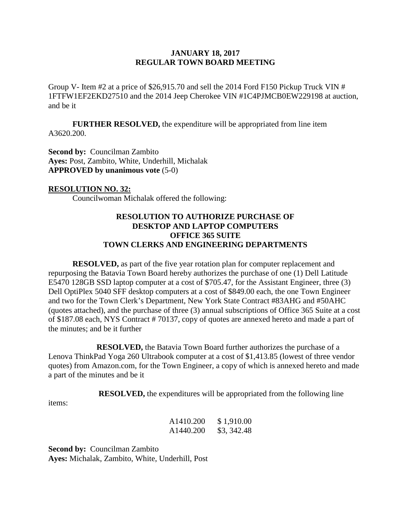Group V- Item #2 at a price of \$26,915.70 and sell the 2014 Ford F150 Pickup Truck VIN # 1FTFW1EF2EKD27510 and the 2014 Jeep Cherokee VIN #1C4PJMCB0EW229198 at auction, and be it

**FURTHER RESOLVED,** the expenditure will be appropriated from line item A3620.200.

**Second by: Councilman Zambito Ayes:** Post, Zambito, White, Underhill, Michalak **APPROVED by unanimous vote** (5-0)

#### **RESOLUTION NO. 32:**

Councilwoman Michalak offered the following:

# **RESOLUTION TO AUTHORIZE PURCHASE OF DESKTOP AND LAPTOP COMPUTERS OFFICE 365 SUITE TOWN CLERKS AND ENGINEERING DEPARTMENTS**

**RESOLVED,** as part of the five year rotation plan for computer replacement and repurposing the Batavia Town Board hereby authorizes the purchase of one (1) Dell Latitude E5470 128GB SSD laptop computer at a cost of \$705.47, for the Assistant Engineer, three (3) Dell OptiPlex 5040 SFF desktop computers at a cost of \$849.00 each, the one Town Engineer and two for the Town Clerk's Department, New York State Contract #83AHG and #50AHC (quotes attached), and the purchase of three (3) annual subscriptions of Office 365 Suite at a cost of \$187.08 each, NYS Contract # 70137, copy of quotes are annexed hereto and made a part of the minutes; and be it further

**RESOLVED,** the Batavia Town Board further authorizes the purchase of a Lenova ThinkPad Yoga 260 Ultrabook computer at a cost of \$1,413.85 (lowest of three vendor quotes) from Amazon.com, for the Town Engineer, a copy of which is annexed hereto and made a part of the minutes and be it

**RESOLVED,** the expenditures will be appropriated from the following line

items:

| A1410.200 | \$1,910.00  |
|-----------|-------------|
| A1440.200 | \$3, 342.48 |

**Second by:** Councilman Zambito **Ayes:** Michalak, Zambito, White, Underhill, Post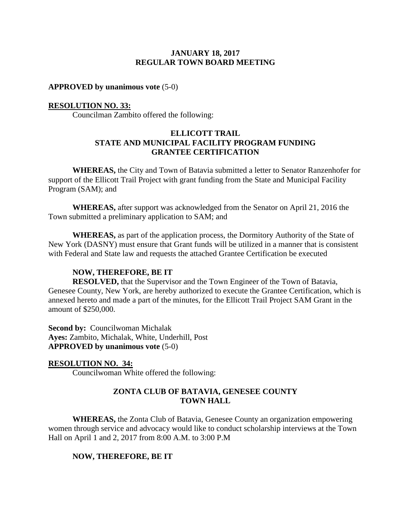**APPROVED by unanimous vote** (5-0)

#### **RESOLUTION NO. 33:**

Councilman Zambito offered the following:

#### **ELLICOTT TRAIL STATE AND MUNICIPAL FACILITY PROGRAM FUNDING GRANTEE CERTIFICATION**

**WHEREAS,** the City and Town of Batavia submitted a letter to Senator Ranzenhofer for support of the Ellicott Trail Project with grant funding from the State and Municipal Facility Program (SAM); and

**WHEREAS,** after support was acknowledged from the Senator on April 21, 2016 the Town submitted a preliminary application to SAM; and

**WHEREAS,** as part of the application process, the Dormitory Authority of the State of New York (DASNY) must ensure that Grant funds will be utilized in a manner that is consistent with Federal and State law and requests the attached Grantee Certification be executed

#### **NOW, THEREFORE, BE IT**

**RESOLVED,** that the Supervisor and the Town Engineer of the Town of Batavia, Genesee County, New York, are hereby authorized to execute the Grantee Certification, which is annexed hereto and made a part of the minutes, for the Ellicott Trail Project SAM Grant in the amount of \$250,000.

**Second by: Councilwoman Michalak Ayes:** Zambito, Michalak, White, Underhill, Post **APPROVED by unanimous vote** (5-0)

**RESOLUTION NO. 34:** Councilwoman White offered the following:

# **ZONTA CLUB OF BATAVIA, GENESEE COUNTY TOWN HALL**

**WHEREAS,** the Zonta Club of Batavia, Genesee County an organization empowering women through service and advocacy would like to conduct scholarship interviews at the Town Hall on April 1 and 2, 2017 from 8:00 A.M. to 3:00 P.M

#### **NOW, THEREFORE, BE IT**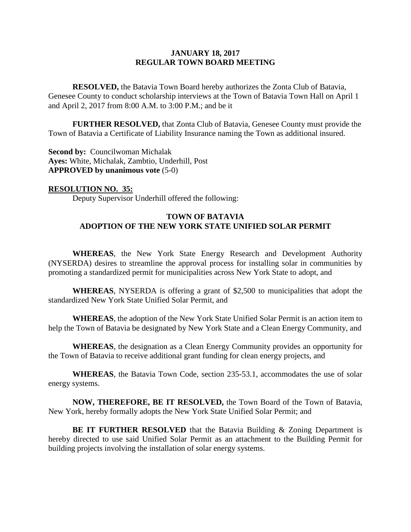**RESOLVED,** the Batavia Town Board hereby authorizes the Zonta Club of Batavia, Genesee County to conduct scholarship interviews at the Town of Batavia Town Hall on April 1 and April 2, 2017 from 8:00 A.M. to 3:00 P.M.; and be it

**FURTHER RESOLVED,** that Zonta Club of Batavia, Genesee County must provide the Town of Batavia a Certificate of Liability Insurance naming the Town as additional insured.

**Second by: Councilwoman Michalak Ayes:** White, Michalak, Zambtio, Underhill, Post **APPROVED by unanimous vote** (5-0)

**RESOLUTION NO. 35:** Deputy Supervisor Underhill offered the following:

# **TOWN OF BATAVIA ADOPTION OF THE NEW YORK STATE UNIFIED SOLAR PERMIT**

**WHEREAS**, the New York State Energy Research and Development Authority (NYSERDA) desires to streamline the approval process for installing solar in communities by promoting a standardized permit for municipalities across New York State to adopt, and

**WHEREAS**, NYSERDA is offering a grant of \$2,500 to municipalities that adopt the standardized New York State Unified Solar Permit, and

**WHEREAS**, the adoption of the New York State Unified Solar Permit is an action item to help the Town of Batavia be designated by New York State and a Clean Energy Community, and

**WHEREAS**, the designation as a Clean Energy Community provides an opportunity for the Town of Batavia to receive additional grant funding for clean energy projects, and

**WHEREAS**, the Batavia Town Code, section 235-53.1, accommodates the use of solar energy systems.

**NOW, THEREFORE, BE IT RESOLVED,** the Town Board of the Town of Batavia, New York, hereby formally adopts the New York State Unified Solar Permit; and

**BE IT FURTHER RESOLVED** that the Batavia Building & Zoning Department is hereby directed to use said Unified Solar Permit as an attachment to the Building Permit for building projects involving the installation of solar energy systems.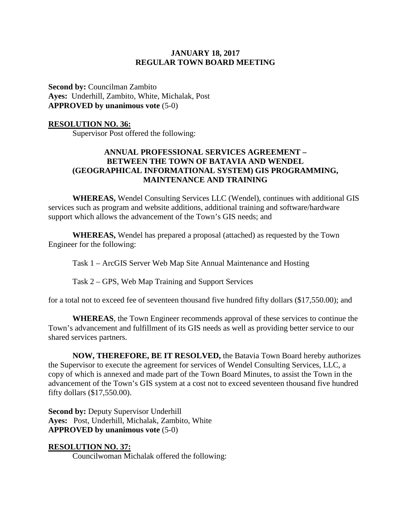**Second by:** Councilman Zambito **Ayes:** Underhill, Zambito, White, Michalak, Post **APPROVED by unanimous vote** (5-0)

#### **RESOLUTION NO. 36:**

Supervisor Post offered the following:

# **ANNUAL PROFESSIONAL SERVICES AGREEMENT – BETWEEN THE TOWN OF BATAVIA AND WENDEL (GEOGRAPHICAL INFORMATIONAL SYSTEM) GIS PROGRAMMING, MAINTENANCE AND TRAINING**

**WHEREAS,** Wendel Consulting Services LLC (Wendel), continues with additional GIS services such as program and website additions, additional training and software/hardware support which allows the advancement of the Town's GIS needs; and

**WHEREAS,** Wendel has prepared a proposal (attached) as requested by the Town Engineer for the following:

Task 1 – ArcGIS Server Web Map Site Annual Maintenance and Hosting

Task 2 – GPS, Web Map Training and Support Services

for a total not to exceed fee of seventeen thousand five hundred fifty dollars (\$17,550.00); and

**WHEREAS**, the Town Engineer recommends approval of these services to continue the Town's advancement and fulfillment of its GIS needs as well as providing better service to our shared services partners.

**NOW, THEREFORE, BE IT RESOLVED,** the Batavia Town Board hereby authorizes the Supervisor to execute the agreement for services of Wendel Consulting Services, LLC, a copy of which is annexed and made part of the Town Board Minutes, to assist the Town in the advancement of the Town's GIS system at a cost not to exceed seventeen thousand five hundred fifty dollars (\$17,550.00).

**Second by:** Deputy Supervisor Underhill **Ayes:** Post, Underhill, Michalak, Zambito, White **APPROVED by unanimous vote** (5-0)

#### **RESOLUTION NO. 37:**

Councilwoman Michalak offered the following: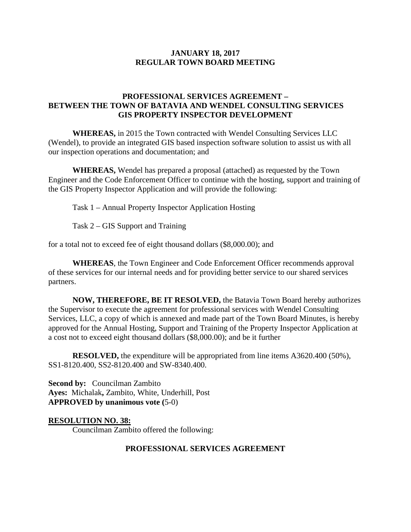# **PROFESSIONAL SERVICES AGREEMENT – BETWEEN THE TOWN OF BATAVIA AND WENDEL CONSULTING SERVICES GIS PROPERTY INSPECTOR DEVELOPMENT**

**WHEREAS,** in 2015 the Town contracted with Wendel Consulting Services LLC (Wendel), to provide an integrated GIS based inspection software solution to assist us with all our inspection operations and documentation; and

**WHEREAS,** Wendel has prepared a proposal (attached) as requested by the Town Engineer and the Code Enforcement Officer to continue with the hosting, support and training of the GIS Property Inspector Application and will provide the following:

Task 1 – Annual Property Inspector Application Hosting

Task 2 – GIS Support and Training

for a total not to exceed fee of eight thousand dollars (\$8,000.00); and

**WHEREAS**, the Town Engineer and Code Enforcement Officer recommends approval of these services for our internal needs and for providing better service to our shared services partners.

**NOW, THEREFORE, BE IT RESOLVED,** the Batavia Town Board hereby authorizes the Supervisor to execute the agreement for professional services with Wendel Consulting Services, LLC, a copy of which is annexed and made part of the Town Board Minutes, is hereby approved for the Annual Hosting, Support and Training of the Property Inspector Application at a cost not to exceed eight thousand dollars (\$8,000.00); and be it further

**RESOLVED,** the expenditure will be appropriated from line items A3620.400 (50%), SS1-8120.400, SS2-8120.400 and SW-8340.400.

**Second by:** Councilman Zambito **Ayes:** Michalak**,** Zambito, White, Underhill, Post **APPROVED by unanimous vote (**5-0)

**RESOLUTION NO. 38:**

Councilman Zambito offered the following:

#### **PROFESSIONAL SERVICES AGREEMENT**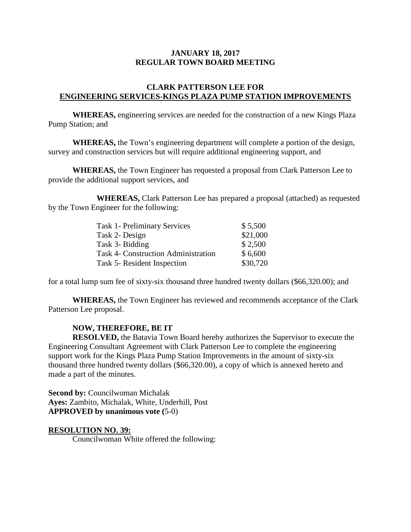#### **CLARK PATTERSON LEE FOR ENGINEERING SERVICES-KINGS PLAZA PUMP STATION IMPROVEMENTS**

**WHEREAS,** engineering services are needed for the construction of a new Kings Plaza Pump Station; and

**WHEREAS,** the Town's engineering department will complete a portion of the design, survey and construction services but will require additional engineering support, and

**WHEREAS,** the Town Engineer has requested a proposal from Clark Patterson Lee to provide the additional support services, and

**WHEREAS,** Clark Patterson Lee has prepared a proposal (attached) as requested by the Town Engineer for the following:

| <b>Task 1- Preliminary Services</b>        | \$5,500  |
|--------------------------------------------|----------|
| Task 2- Design                             | \$21,000 |
| Task 3- Bidding                            | \$2,500  |
| <b>Task 4- Construction Administration</b> | \$6,600  |
| Task 5- Resident Inspection                | \$30,720 |

for a total lump sum fee of sixty-six thousand three hundred twenty dollars (\$66,320.00); and

**WHEREAS,** the Town Engineer has reviewed and recommends acceptance of the Clark Patterson Lee proposal.

#### **NOW, THEREFORE, BE IT**

**RESOLVED,** the Batavia Town Board hereby authorizes the Supervisor to execute the Engineering Consultant Agreement with Clark Patterson Lee to complete the engineering support work for the Kings Plaza Pump Station Improvements in the amount of sixty-six thousand three hundred twenty dollars (\$66,320.00), a copy of which is annexed hereto and made a part of the minutes.

**Second by:** Councilwoman Michalak **Ayes:** Zambito, Michalak, White, Underhill, Post **APPROVED by unanimous vote (**5-0)

#### **RESOLUTION NO. 39:**

Councilwoman White offered the following: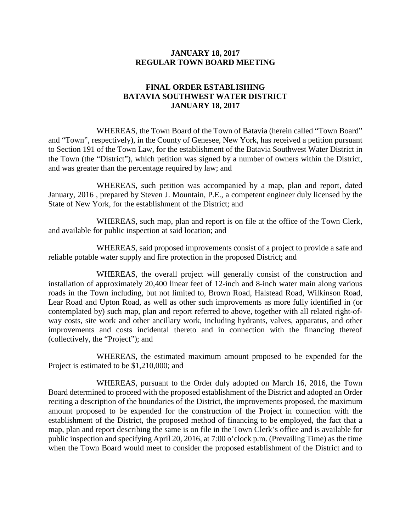# **FINAL ORDER ESTABLISHING BATAVIA SOUTHWEST WATER DISTRICT JANUARY 18, 2017**

WHEREAS, the Town Board of the Town of Batavia (herein called "Town Board" and "Town", respectively), in the County of Genesee, New York, has received a petition pursuant to Section 191 of the Town Law, for the establishment of the Batavia Southwest Water District in the Town (the "District"), which petition was signed by a number of owners within the District, and was greater than the percentage required by law; and

WHEREAS, such petition was accompanied by a map, plan and report, dated January, 2016 , prepared by Steven J. Mountain, P.E., a competent engineer duly licensed by the State of New York, for the establishment of the District; and

WHEREAS, such map, plan and report is on file at the office of the Town Clerk, and available for public inspection at said location; and

WHEREAS, said proposed improvements consist of a project to provide a safe and reliable potable water supply and fire protection in the proposed District; and

WHEREAS, the overall project will generally consist of the construction and installation of approximately 20,400 linear feet of 12-inch and 8-inch water main along various roads in the Town including, but not limited to, Brown Road, Halstead Road, Wilkinson Road, Lear Road and Upton Road, as well as other such improvements as more fully identified in (or contemplated by) such map, plan and report referred to above, together with all related right-ofway costs, site work and other ancillary work, including hydrants, valves, apparatus, and other improvements and costs incidental thereto and in connection with the financing thereof (collectively, the "Project"); and

WHEREAS, the estimated maximum amount proposed to be expended for the Project is estimated to be \$1,210,000; and

WHEREAS, pursuant to the Order duly adopted on March 16, 2016, the Town Board determined to proceed with the proposed establishment of the District and adopted an Order reciting a description of the boundaries of the District, the improvements proposed, the maximum amount proposed to be expended for the construction of the Project in connection with the establishment of the District, the proposed method of financing to be employed, the fact that a map, plan and report describing the same is on file in the Town Clerk's office and is available for public inspection and specifying April 20, 2016, at 7:00 o'clock p.m. (Prevailing Time) as the time when the Town Board would meet to consider the proposed establishment of the District and to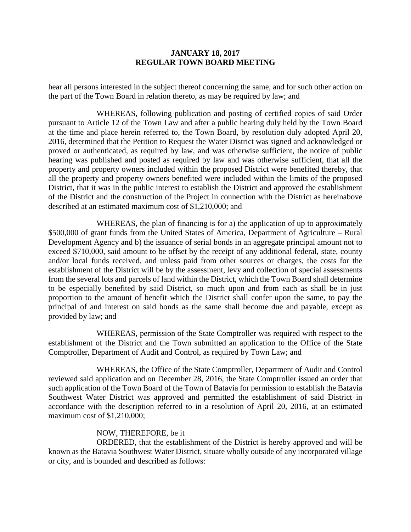hear all persons interested in the subject thereof concerning the same, and for such other action on the part of the Town Board in relation thereto, as may be required by law; and

WHEREAS, following publication and posting of certified copies of said Order pursuant to Article 12 of the Town Law and after a public hearing duly held by the Town Board at the time and place herein referred to, the Town Board, by resolution duly adopted April 20, 2016, determined that the Petition to Request the Water District was signed and acknowledged or proved or authenticated, as required by law, and was otherwise sufficient, the notice of public hearing was published and posted as required by law and was otherwise sufficient, that all the property and property owners included within the proposed District were benefited thereby, that all the property and property owners benefited were included within the limits of the proposed District, that it was in the public interest to establish the District and approved the establishment of the District and the construction of the Project in connection with the District as hereinabove described at an estimated maximum cost of \$1,210,000; and

WHEREAS, the plan of financing is for a) the application of up to approximately \$500,000 of grant funds from the United States of America, Department of Agriculture – Rural Development Agency and b) the issuance of serial bonds in an aggregate principal amount not to exceed \$710,000, said amount to be offset by the receipt of any additional federal, state, county and/or local funds received, and unless paid from other sources or charges, the costs for the establishment of the District will be by the assessment, levy and collection of special assessments from the several lots and parcels of land within the District, which the Town Board shall determine to be especially benefited by said District, so much upon and from each as shall be in just proportion to the amount of benefit which the District shall confer upon the same, to pay the principal of and interest on said bonds as the same shall become due and payable, except as provided by law; and

WHEREAS, permission of the State Comptroller was required with respect to the establishment of the District and the Town submitted an application to the Office of the State Comptroller, Department of Audit and Control, as required by Town Law; and

WHEREAS, the Office of the State Comptroller, Department of Audit and Control reviewed said application and on December 28, 2016, the State Comptroller issued an order that such application of the Town Board of the Town of Batavia for permission to establish the Batavia Southwest Water District was approved and permitted the establishment of said District in accordance with the description referred to in a resolution of April 20, 2016, at an estimated maximum cost of \$1,210,000;

#### NOW, THEREFORE, be it

ORDERED, that the establishment of the District is hereby approved and will be known as the Batavia Southwest Water District, situate wholly outside of any incorporated village or city, and is bounded and described as follows: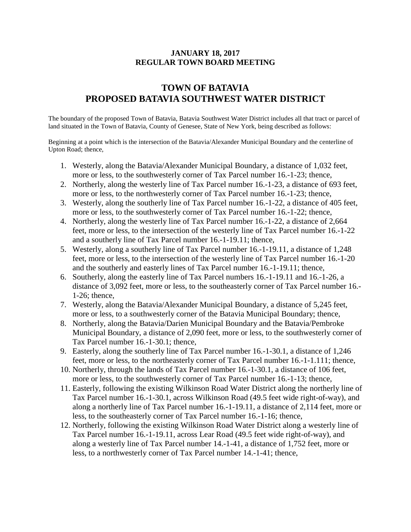# **TOWN OF BATAVIA PROPOSED BATAVIA SOUTHWEST WATER DISTRICT**

The boundary of the proposed Town of Batavia, Batavia Southwest Water District includes all that tract or parcel of land situated in the Town of Batavia, County of Genesee, State of New York, being described as follows:

Beginning at a point which is the intersection of the Batavia/Alexander Municipal Boundary and the centerline of Upton Road; thence,

- 1. Westerly, along the Batavia/Alexander Municipal Boundary, a distance of 1,032 feet, more or less, to the southwesterly corner of Tax Parcel number 16.-1-23; thence,
- 2. Northerly, along the westerly line of Tax Parcel number 16.-1-23, a distance of 693 feet, more or less, to the northwesterly corner of Tax Parcel number 16.-1-23; thence,
- 3. Westerly, along the southerly line of Tax Parcel number 16.-1-22, a distance of 405 feet, more or less, to the southwesterly corner of Tax Parcel number 16.-1-22; thence,
- 4. Northerly, along the westerly line of Tax Parcel number 16.-1-22, a distance of 2,664 feet, more or less, to the intersection of the westerly line of Tax Parcel number 16.-1-22 and a southerly line of Tax Parcel number 16.-1-19.11; thence,
- 5. Westerly, along a southerly line of Tax Parcel number 16.-1-19.11, a distance of 1,248 feet, more or less, to the intersection of the westerly line of Tax Parcel number 16.-1-20 and the southerly and easterly lines of Tax Parcel number 16.-1-19.11; thence,
- 6. Southerly, along the easterly line of Tax Parcel numbers 16.-1-19.11 and 16.-1-26, a distance of 3,092 feet, more or less, to the southeasterly corner of Tax Parcel number 16.- 1-26; thence,
- 7. Westerly, along the Batavia/Alexander Municipal Boundary, a distance of 5,245 feet, more or less, to a southwesterly corner of the Batavia Municipal Boundary; thence,
- 8. Northerly, along the Batavia/Darien Municipal Boundary and the Batavia/Pembroke Municipal Boundary, a distance of 2,090 feet, more or less, to the southwesterly corner of Tax Parcel number 16.-1-30.1; thence,
- 9. Easterly, along the southerly line of Tax Parcel number 16.-1-30.1, a distance of 1,246 feet, more or less, to the northeasterly corner of Tax Parcel number 16.-1-1.111; thence,
- 10. Northerly, through the lands of Tax Parcel number 16.-1-30.1, a distance of 106 feet, more or less, to the southwesterly corner of Tax Parcel number 16.-1-13; thence,
- 11. Easterly, following the existing Wilkinson Road Water District along the northerly line of Tax Parcel number 16.-1-30.1, across Wilkinson Road (49.5 feet wide right-of-way), and along a northerly line of Tax Parcel number 16.-1-19.11, a distance of 2,114 feet, more or less, to the southeasterly corner of Tax Parcel number 16.-1-16; thence,
- 12. Northerly, following the existing Wilkinson Road Water District along a westerly line of Tax Parcel number 16.-1-19.11, across Lear Road (49.5 feet wide right-of-way), and along a westerly line of Tax Parcel number 14.-1-41, a distance of 1,752 feet, more or less, to a northwesterly corner of Tax Parcel number 14.-1-41; thence,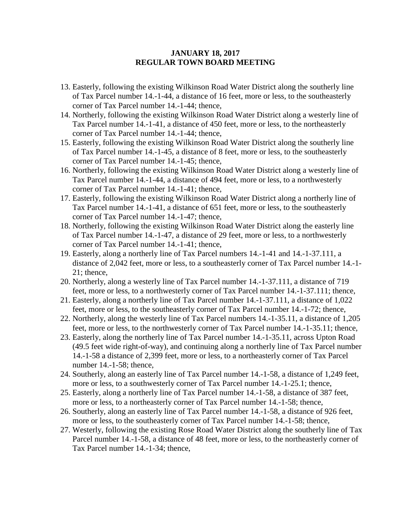- 13. Easterly, following the existing Wilkinson Road Water District along the southerly line of Tax Parcel number 14.-1-44, a distance of 16 feet, more or less, to the southeasterly corner of Tax Parcel number 14.-1-44; thence,
- 14. Northerly, following the existing Wilkinson Road Water District along a westerly line of Tax Parcel number 14.-1-41, a distance of 450 feet, more or less, to the northeasterly corner of Tax Parcel number 14.-1-44; thence,
- 15. Easterly, following the existing Wilkinson Road Water District along the southerly line of Tax Parcel number 14.-1-45, a distance of 8 feet, more or less, to the southeasterly corner of Tax Parcel number 14.-1-45; thence,
- 16. Northerly, following the existing Wilkinson Road Water District along a westerly line of Tax Parcel number 14.-1-44, a distance of 494 feet, more or less, to a northwesterly corner of Tax Parcel number 14.-1-41; thence,
- 17. Easterly, following the existing Wilkinson Road Water District along a northerly line of Tax Parcel number 14.-1-41, a distance of 651 feet, more or less, to the southeasterly corner of Tax Parcel number 14.-1-47; thence,
- 18. Northerly, following the existing Wilkinson Road Water District along the easterly line of Tax Parcel number 14.-1-47, a distance of 29 feet, more or less, to a northwesterly corner of Tax Parcel number 14.-1-41; thence,
- 19. Easterly, along a northerly line of Tax Parcel numbers 14.-1-41 and 14.-1-37.111, a distance of 2,042 feet, more or less, to a southeasterly corner of Tax Parcel number 14.-1- 21; thence,
- 20. Northerly, along a westerly line of Tax Parcel number 14.-1-37.111, a distance of 719 feet, more or less, to a northwesterly corner of Tax Parcel number 14.-1-37.111; thence,
- 21. Easterly, along a northerly line of Tax Parcel number 14.-1-37.111, a distance of 1,022 feet, more or less, to the southeasterly corner of Tax Parcel number 14.-1-72; thence,
- 22. Northerly, along the westerly line of Tax Parcel numbers 14.-1-35.11, a distance of 1,205 feet, more or less, to the northwesterly corner of Tax Parcel number 14.-1-35.11; thence,
- 23. Easterly, along the northerly line of Tax Parcel number 14.-1-35.11, across Upton Road (49.5 feet wide right-of-way), and continuing along a northerly line of Tax Parcel number 14.-1-58 a distance of 2,399 feet, more or less, to a northeasterly corner of Tax Parcel number 14.-1-58; thence,
- 24. Southerly, along an easterly line of Tax Parcel number 14.-1-58, a distance of 1,249 feet, more or less, to a southwesterly corner of Tax Parcel number 14.-1-25.1; thence,
- 25. Easterly, along a northerly line of Tax Parcel number 14.-1-58, a distance of 387 feet, more or less, to a northeasterly corner of Tax Parcel number 14.-1-58; thence,
- 26. Southerly, along an easterly line of Tax Parcel number 14.-1-58, a distance of 926 feet, more or less, to the southeasterly corner of Tax Parcel number 14.-1-58; thence,
- 27. Westerly, following the existing Rose Road Water District along the southerly line of Tax Parcel number 14.-1-58, a distance of 48 feet, more or less, to the northeasterly corner of Tax Parcel number 14.-1-34; thence,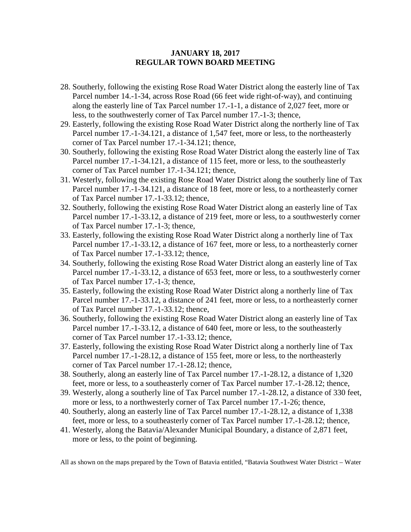- 28. Southerly, following the existing Rose Road Water District along the easterly line of Tax Parcel number 14.-1-34, across Rose Road (66 feet wide right-of-way), and continuing along the easterly line of Tax Parcel number 17.-1-1, a distance of 2,027 feet, more or less, to the southwesterly corner of Tax Parcel number 17.-1-3; thence,
- 29. Easterly, following the existing Rose Road Water District along the northerly line of Tax Parcel number 17.-1-34.121, a distance of 1,547 feet, more or less, to the northeasterly corner of Tax Parcel number 17.-1-34.121; thence,
- 30. Southerly, following the existing Rose Road Water District along the easterly line of Tax Parcel number 17.-1-34.121, a distance of 115 feet, more or less, to the southeasterly corner of Tax Parcel number 17.-1-34.121; thence,
- 31. Westerly, following the existing Rose Road Water District along the southerly line of Tax Parcel number 17.-1-34.121, a distance of 18 feet, more or less, to a northeasterly corner of Tax Parcel number 17.-1-33.12; thence,
- 32. Southerly, following the existing Rose Road Water District along an easterly line of Tax Parcel number 17.-1-33.12, a distance of 219 feet, more or less, to a southwesterly corner of Tax Parcel number 17.-1-3; thence,
- 33. Easterly, following the existing Rose Road Water District along a northerly line of Tax Parcel number 17.-1-33.12, a distance of 167 feet, more or less, to a northeasterly corner of Tax Parcel number 17.-1-33.12; thence,
- 34. Southerly, following the existing Rose Road Water District along an easterly line of Tax Parcel number 17.-1-33.12, a distance of 653 feet, more or less, to a southwesterly corner of Tax Parcel number 17.-1-3; thence,
- 35. Easterly, following the existing Rose Road Water District along a northerly line of Tax Parcel number 17.-1-33.12, a distance of 241 feet, more or less, to a northeasterly corner of Tax Parcel number 17.-1-33.12; thence,
- 36. Southerly, following the existing Rose Road Water District along an easterly line of Tax Parcel number 17.-1-33.12, a distance of 640 feet, more or less, to the southeasterly corner of Tax Parcel number 17.-1-33.12; thence,
- 37. Easterly, following the existing Rose Road Water District along a northerly line of Tax Parcel number 17.-1-28.12, a distance of 155 feet, more or less, to the northeasterly corner of Tax Parcel number 17.-1-28.12; thence,
- 38. Southerly, along an easterly line of Tax Parcel number 17.-1-28.12, a distance of 1,320 feet, more or less, to a southeasterly corner of Tax Parcel number 17.-1-28.12; thence,
- 39. Westerly, along a southerly line of Tax Parcel number 17.-1-28.12, a distance of 330 feet, more or less, to a northwesterly corner of Tax Parcel number 17.-1-26; thence,
- 40. Southerly, along an easterly line of Tax Parcel number 17.-1-28.12, a distance of 1,338 feet, more or less, to a southeasterly corner of Tax Parcel number 17.-1-28.12; thence,
- 41. Westerly, along the Batavia/Alexander Municipal Boundary, a distance of 2,871 feet, more or less, to the point of beginning.

All as shown on the maps prepared by the Town of Batavia entitled, "Batavia Southwest Water District – Water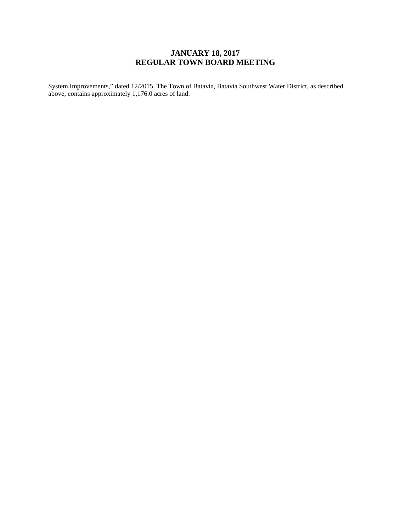System Improvements," dated 12/2015. The Town of Batavia, Batavia Southwest Water District, as described above, contains approximately 1,176.0 acres of land.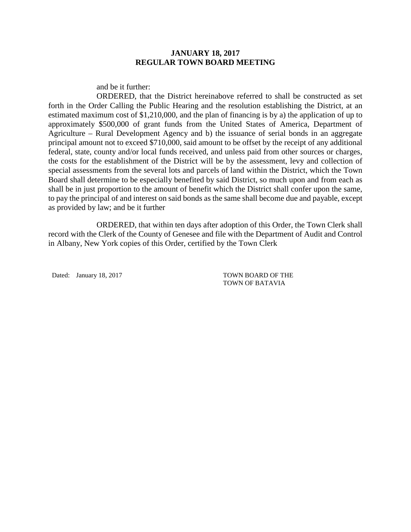and be it further:

ORDERED, that the District hereinabove referred to shall be constructed as set forth in the Order Calling the Public Hearing and the resolution establishing the District, at an estimated maximum cost of \$1,210,000, and the plan of financing is by a) the application of up to approximately \$500,000 of grant funds from the United States of America, Department of Agriculture – Rural Development Agency and b) the issuance of serial bonds in an aggregate principal amount not to exceed \$710,000, said amount to be offset by the receipt of any additional federal, state, county and/or local funds received, and unless paid from other sources or charges, the costs for the establishment of the District will be by the assessment, levy and collection of special assessments from the several lots and parcels of land within the District, which the Town Board shall determine to be especially benefited by said District, so much upon and from each as shall be in just proportion to the amount of benefit which the District shall confer upon the same, to pay the principal of and interest on said bonds as the same shall become due and payable, except as provided by law; and be it further

ORDERED, that within ten days after adoption of this Order, the Town Clerk shall record with the Clerk of the County of Genesee and file with the Department of Audit and Control in Albany, New York copies of this Order, certified by the Town Clerk

Dated: January 18, 2017 TOWN BOARD OF THE

TOWN OF BATAVIA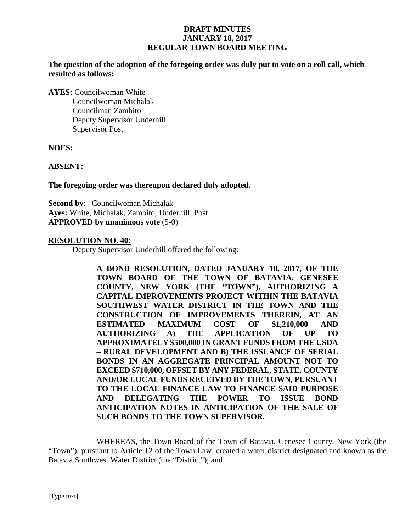**The question of the adoption of the foregoing order was duly put to vote on a roll call, which resulted as follows:**

**AYES:** Councilwoman White Councilwoman Michalak Councilman Zambito Deputy Supervisor Underhill Supervisor Post

**NOES:**

**ABSENT:**

**The foregoing order was thereupon declared duly adopted.**

**Second by**: Councilwoman Michalak **Ayes:** White, Michalak, Zambito, Underhill, Post **APPROVED by unanimous vote** (5-0)

#### **RESOLUTION NO. 40:**

Deputy Supervisor Underhill offered the following:

**A BOND RESOLUTION, DATED JANUARY 18, 2017, OF THE TOWN BOARD OF THE TOWN OF BATAVIA, GENESEE COUNTY, NEW YORK (THE "TOWN"), AUTHORIZING A CAPITAL IMPROVEMENTS PROJECT WITHIN THE BATAVIA SOUTHWEST WATER DISTRICT IN THE TOWN AND THE CONSTRUCTION OF IMPROVEMENTS THEREIN, AT AN ESTIMATED MAXIMUM COST OF \$1,210,000 AND AUTHORIZING A) THE APPLICATION OF UP TO APPROXIMATELY \$500,000 IN GRANT FUNDS FROM THE USDA – RURAL DEVELOPMENT AND B) THE ISSUANCE OF SERIAL BONDS IN AN AGGREGATE PRINCIPAL AMOUNT NOT TO EXCEED \$710,000, OFFSET BY ANY FEDERAL, STATE, COUNTY AND/OR LOCAL FUNDS RECEIVED BY THE TOWN, PURSUANT TO THE LOCAL FINANCE LAW TO FINANCE SAID PURPOSE AND DELEGATING THE POWER TO ISSUE BOND ANTICIPATION NOTES IN ANTICIPATION OF THE SALE OF SUCH BONDS TO THE TOWN SUPERVISOR.**

WHEREAS, the Town Board of the Town of Batavia, Genesee County, New York (the "Town"), pursuant to Article 12 of the Town Law, created a water district designated and known as the Batavia Southwest Water District (the "District"); and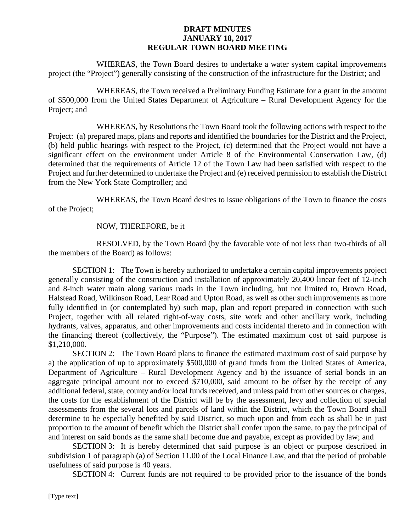WHEREAS, the Town Board desires to undertake a water system capital improvements project (the "Project") generally consisting of the construction of the infrastructure for the District; and

WHEREAS, the Town received a Preliminary Funding Estimate for a grant in the amount of \$500,000 from the United States Department of Agriculture – Rural Development Agency for the Project; and

WHEREAS, by Resolutions the Town Board took the following actions with respect to the Project: (a) prepared maps, plans and reports and identified the boundaries for the District and the Project, (b) held public hearings with respect to the Project, (c) determined that the Project would not have a significant effect on the environment under Article 8 of the Environmental Conservation Law, (d) determined that the requirements of Article 12 of the Town Law had been satisfied with respect to the Project and further determined to undertake the Project and (e) received permission to establish the District from the New York State Comptroller; and

WHEREAS, the Town Board desires to issue obligations of the Town to finance the costs of the Project;

#### NOW, THEREFORE, be it

RESOLVED, by the Town Board (by the favorable vote of not less than two-thirds of all the members of the Board) as follows:

SECTION 1: The Town is hereby authorized to undertake a certain capital improvements project generally consisting of the construction and installation of approximately 20,400 linear feet of 12-inch and 8-inch water main along various roads in the Town including, but not limited to, Brown Road, Halstead Road, Wilkinson Road, Lear Road and Upton Road, as well as other such improvements as more fully identified in (or contemplated by) such map, plan and report prepared in connection with such Project, together with all related right-of-way costs, site work and other ancillary work, including hydrants, valves, apparatus, and other improvements and costs incidental thereto and in connection with the financing thereof (collectively, the "Purpose"). The estimated maximum cost of said purpose is \$1,210,000.

SECTION 2: The Town Board plans to finance the estimated maximum cost of said purpose by a) the application of up to approximately \$500,000 of grand funds from the United States of America, Department of Agriculture – Rural Development Agency and b) the issuance of serial bonds in an aggregate principal amount not to exceed \$710,000, said amount to be offset by the receipt of any additional federal, state, county and/or local funds received, and unless paid from other sources or charges, the costs for the establishment of the District will be by the assessment, levy and collection of special assessments from the several lots and parcels of land within the District, which the Town Board shall determine to be especially benefited by said District, so much upon and from each as shall be in just proportion to the amount of benefit which the District shall confer upon the same, to pay the principal of and interest on said bonds as the same shall become due and payable, except as provided by law; and

SECTION 3: It is hereby determined that said purpose is an object or purpose described in subdivision 1 of paragraph (a) of Section 11.00 of the Local Finance Law, and that the period of probable usefulness of said purpose is 40 years.

SECTION 4: Current funds are not required to be provided prior to the issuance of the bonds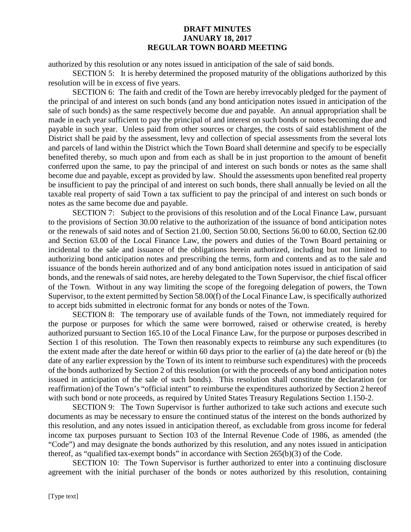authorized by this resolution or any notes issued in anticipation of the sale of said bonds.

SECTION 5: It is hereby determined the proposed maturity of the obligations authorized by this resolution will be in excess of five years.

SECTION 6: The faith and credit of the Town are hereby irrevocably pledged for the payment of the principal of and interest on such bonds (and any bond anticipation notes issued in anticipation of the sale of such bonds) as the same respectively become due and payable. An annual appropriation shall be made in each year sufficient to pay the principal of and interest on such bonds or notes becoming due and payable in such year. Unless paid from other sources or charges, the costs of said establishment of the District shall be paid by the assessment, levy and collection of special assessments from the several lots and parcels of land within the District which the Town Board shall determine and specify to be especially benefited thereby, so much upon and from each as shall be in just proportion to the amount of benefit conferred upon the same, to pay the principal of and interest on such bonds or notes as the same shall become due and payable, except as provided by law. Should the assessments upon benefited real property be insufficient to pay the principal of and interest on such bonds, there shall annually be levied on all the taxable real property of said Town a tax sufficient to pay the principal of and interest on such bonds or notes as the same become due and payable.

SECTION 7: Subject to the provisions of this resolution and of the Local Finance Law, pursuant to the provisions of Section 30.00 relative to the authorization of the issuance of bond anticipation notes or the renewals of said notes and of Section 21.00, Section 50.00, Sections 56.00 to 60.00, Section 62.00 and Section 63.00 of the Local Finance Law, the powers and duties of the Town Board pertaining or incidental to the sale and issuance of the obligations herein authorized, including but not limited to authorizing bond anticipation notes and prescribing the terms, form and contents and as to the sale and issuance of the bonds herein authorized and of any bond anticipation notes issued in anticipation of said bonds, and the renewals of said notes, are hereby delegated to the Town Supervisor, the chief fiscal officer of the Town. Without in any way limiting the scope of the foregoing delegation of powers, the Town Supervisor, to the extent permitted by Section 58.00(f) of the Local Finance Law, is specifically authorized to accept bids submitted in electronic format for any bonds or notes of the Town.

SECTION 8: The temporary use of available funds of the Town, not immediately required for the purpose or purposes for which the same were borrowed, raised or otherwise created, is hereby authorized pursuant to Section 165.10 of the Local Finance Law, for the purpose or purposes described in Section 1 of this resolution. The Town then reasonably expects to reimburse any such expenditures (to the extent made after the date hereof or within 60 days prior to the earlier of (a) the date hereof or (b) the date of any earlier expression by the Town of its intent to reimburse such expenditures) with the proceeds of the bonds authorized by Section 2 of this resolution (or with the proceeds of any bond anticipation notes issued in anticipation of the sale of such bonds). This resolution shall constitute the declaration (or reaffirmation) of the Town's "official intent" to reimburse the expenditures authorized by Section 2 hereof with such bond or note proceeds, as required by United States Treasury Regulations Section 1.150-2.

SECTION 9: The Town Supervisor is further authorized to take such actions and execute such documents as may be necessary to ensure the continued status of the interest on the bonds authorized by this resolution, and any notes issued in anticipation thereof, as excludable from gross income for federal income tax purposes pursuant to Section 103 of the Internal Revenue Code of 1986, as amended (the "Code") and may designate the bonds authorized by this resolution, and any notes issued in anticipation thereof, as "qualified tax-exempt bonds" in accordance with Section 265(b)(3) of the Code.

SECTION 10: The Town Supervisor is further authorized to enter into a continuing disclosure agreement with the initial purchaser of the bonds or notes authorized by this resolution, containing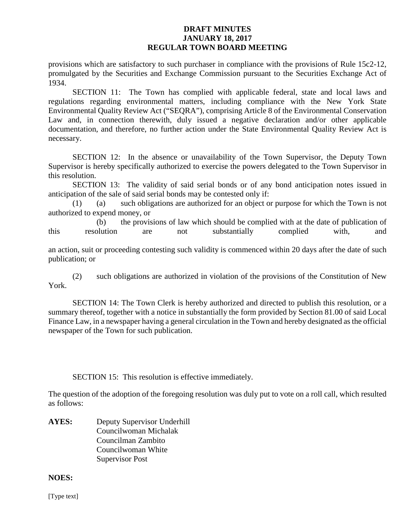provisions which are satisfactory to such purchaser in compliance with the provisions of Rule 15c2-12, promulgated by the Securities and Exchange Commission pursuant to the Securities Exchange Act of 1934.

SECTION 11: The Town has complied with applicable federal, state and local laws and regulations regarding environmental matters, including compliance with the New York State Environmental Quality Review Act ("SEQRA"), comprising Article 8 of the Environmental Conservation Law and, in connection therewith, duly issued a negative declaration and/or other applicable documentation, and therefore, no further action under the State Environmental Quality Review Act is necessary.

SECTION 12: In the absence or unavailability of the Town Supervisor, the Deputy Town Supervisor is hereby specifically authorized to exercise the powers delegated to the Town Supervisor in this resolution.

SECTION 13: The validity of said serial bonds or of any bond anticipation notes issued in anticipation of the sale of said serial bonds may be contested only if:

(1) (a) such obligations are authorized for an object or purpose for which the Town is not authorized to expend money, or

(b) the provisions of law which should be complied with at the date of publication of this resolution are not substantially complied with, and

an action, suit or proceeding contesting such validity is commenced within 20 days after the date of such publication; or

(2) such obligations are authorized in violation of the provisions of the Constitution of New York.

SECTION 14: The Town Clerk is hereby authorized and directed to publish this resolution, or a summary thereof, together with a notice in substantially the form provided by Section 81.00 of said Local Finance Law, in a newspaper having a general circulation in the Town and hereby designated as the official newspaper of the Town for such publication.

SECTION 15: This resolution is effective immediately.

The question of the adoption of the foregoing resolution was duly put to vote on a roll call, which resulted as follows:

**AYES:** Deputy Supervisor Underhill Councilwoman Michalak Councilman Zambito Councilwoman White Supervisor Post

#### **NOES:**

[Type text]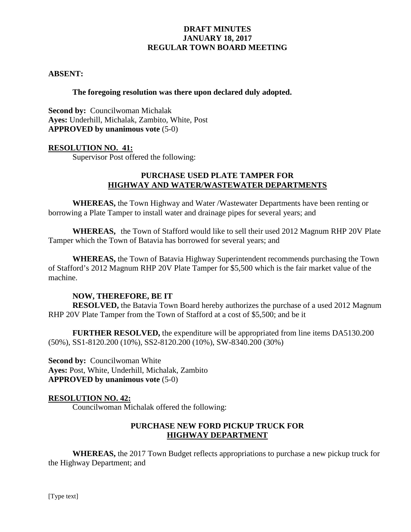#### **ABSENT:**

#### **The foregoing resolution was there upon declared duly adopted.**

**Second by: Councilwoman Michalak Ayes:** Underhill, Michalak, Zambito, White, Post **APPROVED by unanimous vote** (5-0)

#### **RESOLUTION NO. 41:**

Supervisor Post offered the following:

#### **PURCHASE USED PLATE TAMPER FOR HIGHWAY AND WATER/WASTEWATER DEPARTMENTS**

**WHEREAS,** the Town Highway and Water /Wastewater Departments have been renting or borrowing a Plate Tamper to install water and drainage pipes for several years; and

**WHEREAS,** the Town of Stafford would like to sell their used 2012 Magnum RHP 20V Plate Tamper which the Town of Batavia has borrowed for several years; and

**WHEREAS,** the Town of Batavia Highway Superintendent recommends purchasing the Town of Stafford's 2012 Magnum RHP 20V Plate Tamper for \$5,500 which is the fair market value of the machine.

#### **NOW, THEREFORE, BE IT**

**RESOLVED,** the Batavia Town Board hereby authorizes the purchase of a used 2012 Magnum RHP 20V Plate Tamper from the Town of Stafford at a cost of \$5,500; and be it

**FURTHER RESOLVED,** the expenditure will be appropriated from line items DA5130.200 (50%), SS1-8120.200 (10%), SS2-8120.200 (10%), SW-8340.200 (30%)

**Second by: Councilwoman White Ayes:** Post, White, Underhill, Michalak, Zambito **APPROVED by unanimous vote** (5-0)

#### **RESOLUTION NO. 42:**

Councilwoman Michalak offered the following:

#### **PURCHASE NEW FORD PICKUP TRUCK FOR HIGHWAY DEPARTMENT**

**WHEREAS,** the 2017 Town Budget reflects appropriations to purchase a new pickup truck for the Highway Department; and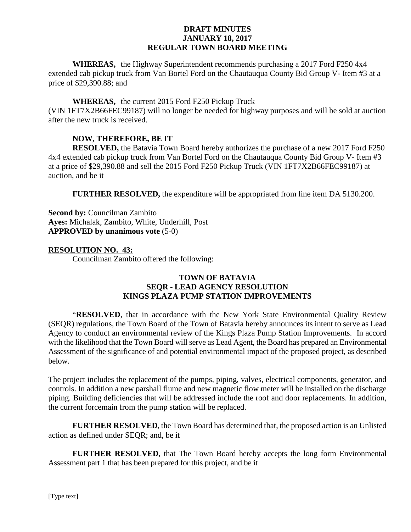**WHEREAS,** the Highway Superintendent recommends purchasing a 2017 Ford F250 4x4 extended cab pickup truck from Van Bortel Ford on the Chautauqua County Bid Group V- Item #3 at a price of \$29,390.88; and

#### **WHEREAS,** the current 2015 Ford F250 Pickup Truck

(VIN 1FT7X2B66FEC99187) will no longer be needed for highway purposes and will be sold at auction after the new truck is received.

#### **NOW, THEREFORE, BE IT**

**RESOLVED,** the Batavia Town Board hereby authorizes the purchase of a new 2017 Ford F250 4x4 extended cab pickup truck from Van Bortel Ford on the Chautauqua County Bid Group V- Item #3 at a price of \$29,390.88 and sell the 2015 Ford F250 Pickup Truck (VIN 1FT7X2B66FEC99187) at auction, and be it

**FURTHER RESOLVED,** the expenditure will be appropriated from line item DA 5130.200.

**Second by:** Councilman Zambito **Ayes:** Michalak, Zambito, White, Underhill, Post **APPROVED by unanimous vote** (5-0)

#### **RESOLUTION NO. 43:**

Councilman Zambito offered the following:

# **TOWN OF BATAVIA SEQR - LEAD AGENCY RESOLUTION KINGS PLAZA PUMP STATION IMPROVEMENTS**

"**RESOLVED**, that in accordance with the New York State Environmental Quality Review (SEQR) regulations, the Town Board of the Town of Batavia hereby announces its intent to serve as Lead Agency to conduct an environmental review of the Kings Plaza Pump Station Improvements. In accord with the likelihood that the Town Board will serve as Lead Agent, the Board has prepared an Environmental Assessment of the significance of and potential environmental impact of the proposed project, as described below.

The project includes the replacement of the pumps, piping, valves, electrical components, generator, and controls. In addition a new parshall flume and new magnetic flow meter will be installed on the discharge piping. Building deficiencies that will be addressed include the roof and door replacements. In addition, the current forcemain from the pump station will be replaced.

**FURTHER RESOLVED**, the Town Board has determined that, the proposed action is an Unlisted action as defined under SEQR; and, be it

**FURTHER RESOLVED**, that The Town Board hereby accepts the long form Environmental Assessment part 1 that has been prepared for this project, and be it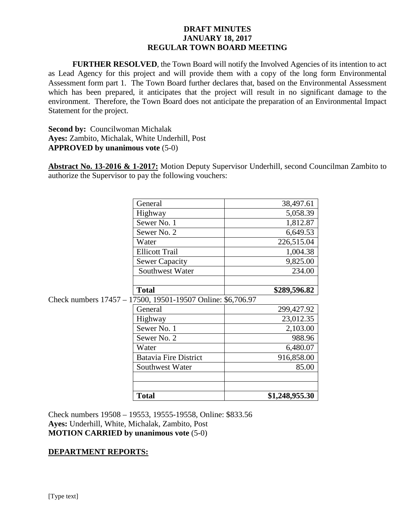**FURTHER RESOLVED**, the Town Board will notify the Involved Agencies of its intention to act as Lead Agency for this project and will provide them with a copy of the long form Environmental Assessment form part 1. The Town Board further declares that, based on the Environmental Assessment which has been prepared, it anticipates that the project will result in no significant damage to the environment. Therefore, the Town Board does not anticipate the preparation of an Environmental Impact Statement for the project.

**Second by: Councilwoman Michalak Ayes:** Zambito, Michalak, White Underhill, Post **APPROVED by unanimous vote** (5-0)

**Abstract No. 13-2016 & 1-2017:** Motion Deputy Supervisor Underhill, second Councilman Zambito to authorize the Supervisor to pay the following vouchers:

|                                                             | General                      | 38,497.61      |  |
|-------------------------------------------------------------|------------------------------|----------------|--|
|                                                             | Highway                      | 5,058.39       |  |
|                                                             | Sewer No. 1                  | 1,812.87       |  |
|                                                             | Sewer No. 2                  | 6,649.53       |  |
|                                                             | Water                        | 226,515.04     |  |
|                                                             | <b>Ellicott Trail</b>        | 1,004.38       |  |
|                                                             | <b>Sewer Capacity</b>        | 9,825.00       |  |
|                                                             | Southwest Water              | 234.00         |  |
|                                                             |                              |                |  |
|                                                             | <b>Total</b>                 | \$289,596.82   |  |
| Check numbers 17457 – 17500, 19501-19507 Online: \$6,706.97 |                              |                |  |
|                                                             | General                      | 299,427.92     |  |
|                                                             | Highway                      | 23,012.35      |  |
|                                                             | Sewer No. 1                  | 2,103.00       |  |
|                                                             | Sewer No. 2                  | 988.96         |  |
|                                                             | Water                        | 6,480.07       |  |
|                                                             | <b>Batavia Fire District</b> | 916,858.00     |  |
|                                                             | Southwest Water              | 85.00          |  |
|                                                             |                              |                |  |
|                                                             |                              |                |  |
|                                                             | <b>Total</b>                 | \$1,248,955.30 |  |

Check numbers 19508 – 19553, 19555-19558, Online: \$833.56 **Ayes:** Underhill, White, Michalak, Zambito, Post **MOTION CARRIED by unanimous vote** (5-0)

#### **DEPARTMENT REPORTS:**